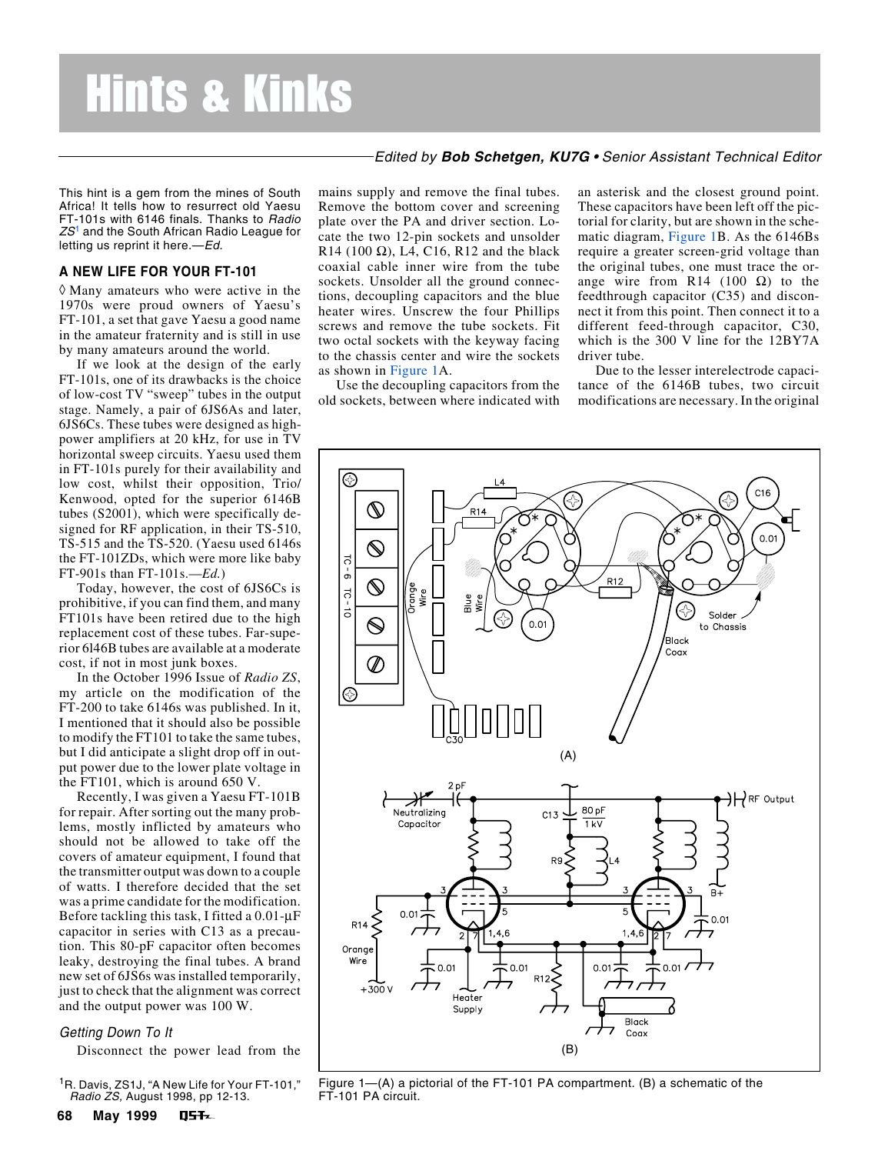# Hints & Kinks

This hint is a gem from the mines of South Africa! It tells how to resurrect old Yaesu FT-101s with 6146 finals. Thanks to Radio  $ZS<sup>1</sup>$  and the South African Radio League for letting us reprint it here.-Ed.

## **A NEW LIFE FOR YOUR FT-101**

◊ Many amateurs who were active in the 1970s were proud owners of Yaesu's FT-101, a set that gave Yaesu a good name in the amateur fraternity and is still in use by many amateurs around the world.

If we look at the design of the early FT-101s, one of its drawbacks is the choice of low-cost TV "sweep" tubes in the output stage. Namely, a pair of 6JS6As and later, 6JS6Cs. These tubes were designed as highpower amplifiers at 20 kHz, for use in TV horizontal sweep circuits. Yaesu used them in FT-101s purely for their availability and low cost, whilst their opposition, Trio/ Kenwood, opted for the superior 6146B tubes (S2001), which were specifically designed for RF application, in their TS-510, TS-515 and the TS-520. (Yaesu used 6146s the FT-101ZDs, which were more like baby FT-901s than FT-101s.—*Ed.*)

Today, however, the cost of 6JS6Cs is prohibitive, if you can find them, and many FT101s have been retired due to the high replacement cost of these tubes. Far-superior 6l46B tubes are available at a moderate cost, if not in most junk boxes.

In the October 1996 Issue of *Radio ZS*, my article on the modification of the FT-200 to take 6146s was published. In it, I mentioned that it should also be possible to modify the FT101 to take the same tubes, but I did anticipate a slight drop off in output power due to the lower plate voltage in the FT101, which is around 650 V.

Recently, I was given a Yaesu FT-101B for repair. After sorting out the many problems, mostly inflicted by amateurs who should not be allowed to take off the covers of amateur equipment, I found that the transmitter output was down to a couple of watts. I therefore decided that the set was a prime candidate for the modification. Before tackling this task, I fitted a 0.01-µF capacitor in series with C13 as a precaution. This 80-pF capacitor often becomes leaky, destroying the final tubes. A brand new set of 6JS6s was installed temporarily, just to check that the alignment was correct and the output power was 100 W.

### Getting Down To It

Disconnect the power lead from the

<sup>1</sup>R. Davis, ZS1J, "A New Life for Your FT-101," Radio ZS, August 1998, pp 12-13.

mains supply and remove the final tubes. Remove the bottom cover and screening plate over the PA and driver section. Locate the two 12-pin sockets and unsolder R14 (100  $\Omega$ ), L4, C16, R12 and the black coaxial cable inner wire from the tube sockets. Unsolder all the ground connections, decoupling capacitors and the blue heater wires. Unscrew the four Phillips screws and remove the tube sockets. Fit two octal sockets with the keyway facing to the chassis center and wire the sockets as shown in Figure 1A.

Use the decoupling capacitors from the old sockets, between where indicated with

 $R14$ 

Nire

⊛

ನ  $\sigma$ 

 $-10 - 10$ 

 $\mathbb{Q}$ 

 $\mathbb{Q}$ 

 $\mathbb{Q}$ 

 $\mathbin{\widehat{\otimes}}$ 

range

an asterisk and the closest ground point. These capacitors have been left off the pictorial for clarity, but are shown in the schematic diagram, Figure 1B. As the 6146Bs require a greater screen-grid voltage than the original tubes, one must trace the orange wire from R14 (100  $\Omega$ ) to the feedthrough capacitor (C35) and disconnect it from this point. Then connect it to a different feed-through capacitor, C30, which is the 300 V line for the 12BY7A driver tube.

Edited by **Bob Schetgen, KU7G** • Senior Assistant Technical Editor

Due to the lesser interelectrode capacitance of the 6146B tubes, two circuit modifications are necessary. In the original

℅

Solder

to Chassis

 $C16$ 

 $0.01$ 



⊗

 $0.0$ 

R<sub>12</sub>

FT-101 PA circuit.